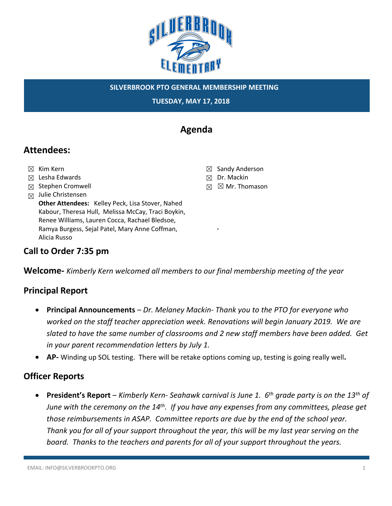

**TUESDAY, MAY 17, 2018**

# **Agenda**

## **Attendees:**

- ☒ Kim Kern
- ☒ Lesha Edwards
- ☒ Stephen Cromwell
- $\boxtimes$  Julie Christensen

**Other Attendees:** Kelley Peck, Lisa Stover, Nahed Kabour, Theresa Hull, Melissa McCay, Traci Boykin, Renee Williams, Lauren Cocca, Rachael Bledsoe, Ramya Burgess, Sejal Patel, Mary Anne Coffman, Alicia Russo

- ☒ Sandy Anderson
- ☒ Dr. Mackin

,

☒ ☒ Mr. Thomason

## **Call to Order 7:35 pm**

**Welcome-** *Kimberly Kern welcomed all members to our final membership meeting of the year*

## **Principal Report**

- **Principal Announcements**  *Dr. Melaney Mackin- Thank you to the PTO for everyone who worked on the staff teacher appreciation week. Renovations will begin January 2019. We are slated to have the same number of classrooms and 2 new staff members have been added. Get in your parent recommendation letters by July 1.*
- **AP-** Winding up SOL testing. There will be retake options coming up, testing is going really well**.**

### **Officer Reports**

• **President's Report** – *Kimberly Kern- Seahawk carnival is June 1. 6th grade party is on the 13th of June with the ceremony on the 14th. If you have any expenses from any committees, please get those reimbursements in ASAP. Committee reports are due by the end of the school year. Thank you for all of your support throughout the year, this will be my last year serving on the board. Thanks to the teachers and parents for all of your support throughout the years.*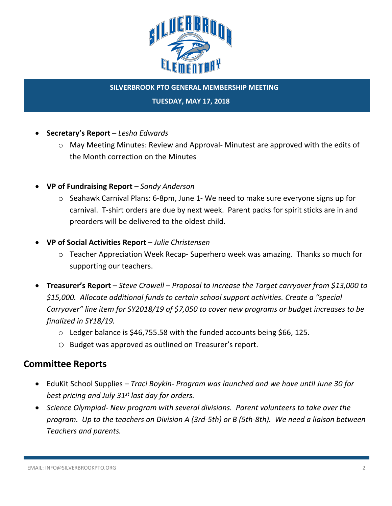

#### **TUESDAY, MAY 17, 2018**

- **Secretary's Report**  *Lesha Edwards*
	- $\circ$  May Meeting Minutes: Review and Approval-Minutest are approved with the edits of the Month correction on the Minutes
- **VP of Fundraising Report**  *Sandy Anderson*
	- $\circ$  Seahawk Carnival Plans: 6-8pm, June 1- We need to make sure everyone signs up for carnival. T-shirt orders are due by next week. Parent packs for spirit sticks are in and preorders will be delivered to the oldest child.
- **VP of Social Activities Report** *Julie Christensen*
	- $\circ$  Teacher Appreciation Week Recap- Superhero week was amazing. Thanks so much for supporting our teachers.
- **Treasurer's Report** *Steve Crowell – Proposal to increase the Target carryover from \$13,000 to \$15,000. Allocate additional funds to certain school support activities. Create a "special Carryover" line item for SY2018/19 of \$7,050 to cover new programs or budget increases to be finalized in SY18/19.*
	- $\circ$  Ledger balance is \$46,755.58 with the funded accounts being \$66, 125.
	- o Budget was approved as outlined on Treasurer's report.

### **Committee Reports**

- EduKit School Supplies *Traci Boykin- Program was launched and we have until June 30 for best pricing and July 31st last day for orders.*
- *Science Olympiad- New program with several divisions. Parent volunteers to take over the program. Up to the teachers on Division A (3rd-5th) or B (5th-8th). We need a liaison between Teachers and parents.*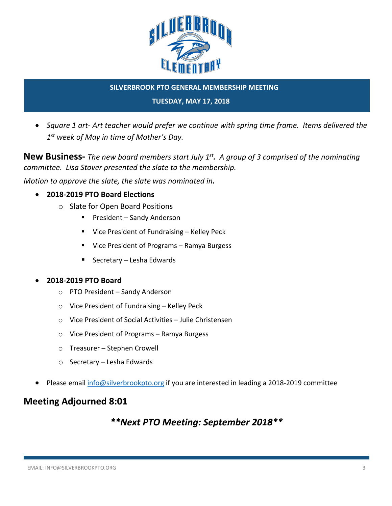

#### **TUESDAY, MAY 17, 2018**

• *Square 1 art- Art teacher would prefer we continue with spring time frame. Items delivered the 1st week of May in time of Mother's Day.*

**New Business-** *The new board members start July 1st. A group of 3 comprised of the nominating committee. Lisa Stover presented the slate to the membership.*

*Motion to approve the slate, the slate was nominated in.*

- **2018-2019 PTO Board Elections**
	- o Slate for Open Board Positions
		- President Sandy Anderson
		- Vice President of Fundraising Kelley Peck
		- Vice President of Programs Ramya Burgess
		- Secretary Lesha Edwards

#### • **2018-2019 PTO Board**

- o PTO President Sandy Anderson
- o Vice President of Fundraising Kelley Peck
- o Vice President of Social Activities Julie Christensen
- o Vice President of Programs Ramya Burgess
- o Treasurer Stephen Crowell
- o Secretary Lesha Edwards
- Please email info@silverbrookpto.org if you are interested in leading a 2018-2019 committee

### **Meeting Adjourned 8:01**

## *\*\*Next PTO Meeting: September 2018\*\**